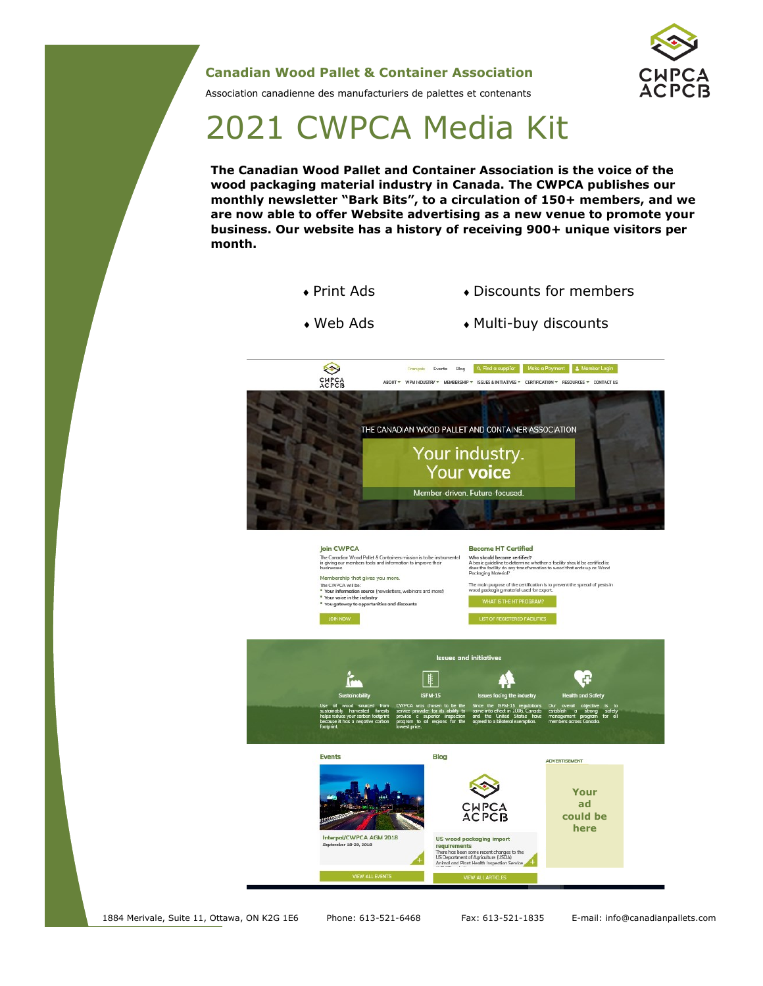### **Canadian Wood Pallet & Container Association**



Association canadienne des manufacturiers de palettes et contenants

# 2021 CWPCA Media Kit

**The Canadian Wood Pallet and Container Association is the voice of the wood packaging material industry in Canada. The CWPCA publishes our monthly newsletter "Bark Bits", to a circulation of 150+ members, and we are now able to offer Website advertising as a new venue to promote your business. Our website has a history of receiving 900+ unique visitors per month.** 

- Print Ads Discounts for members
- Web Ads Multi-buy discounts



1884 Merivale, Suite 11, Ottawa, ON K2G 1E6 Phone: 613-521-6468 Fax: 613-521-1835 E-mail: info@canadianpallets.com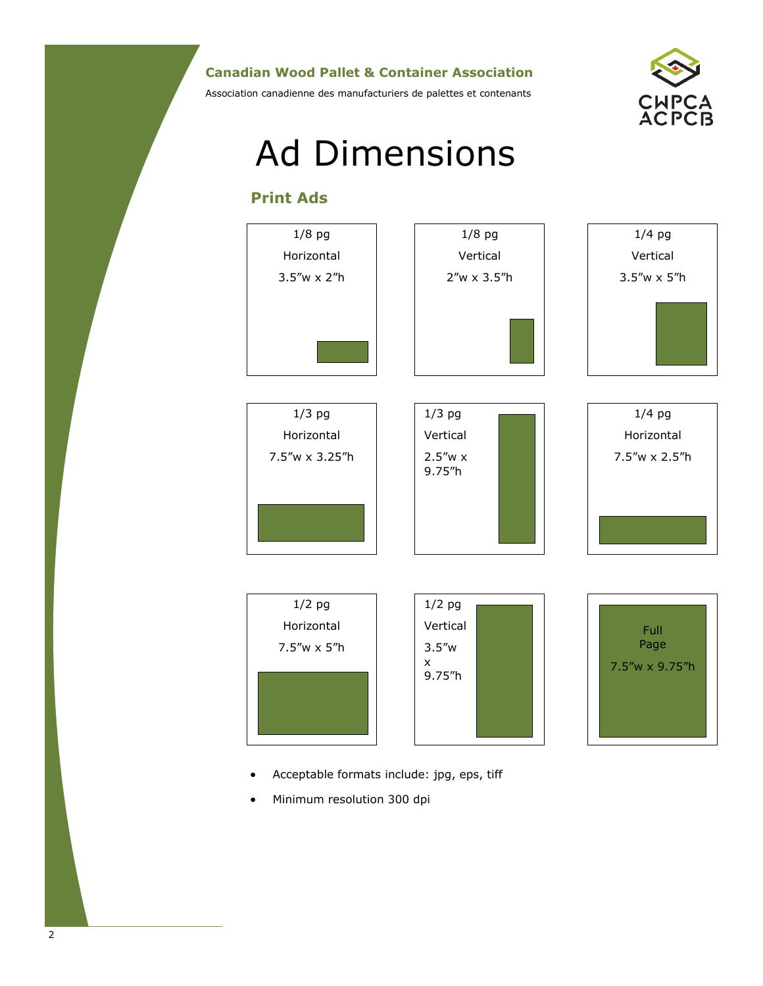### **Canadian Wood Pallet & Container Association**

Association canadienne des manufacturiers de palettes et contenants



# Ad Dimensions

## **Print Ads**



- Acceptable formats include: jpg, eps, tiff
- Minimum resolution 300 dpi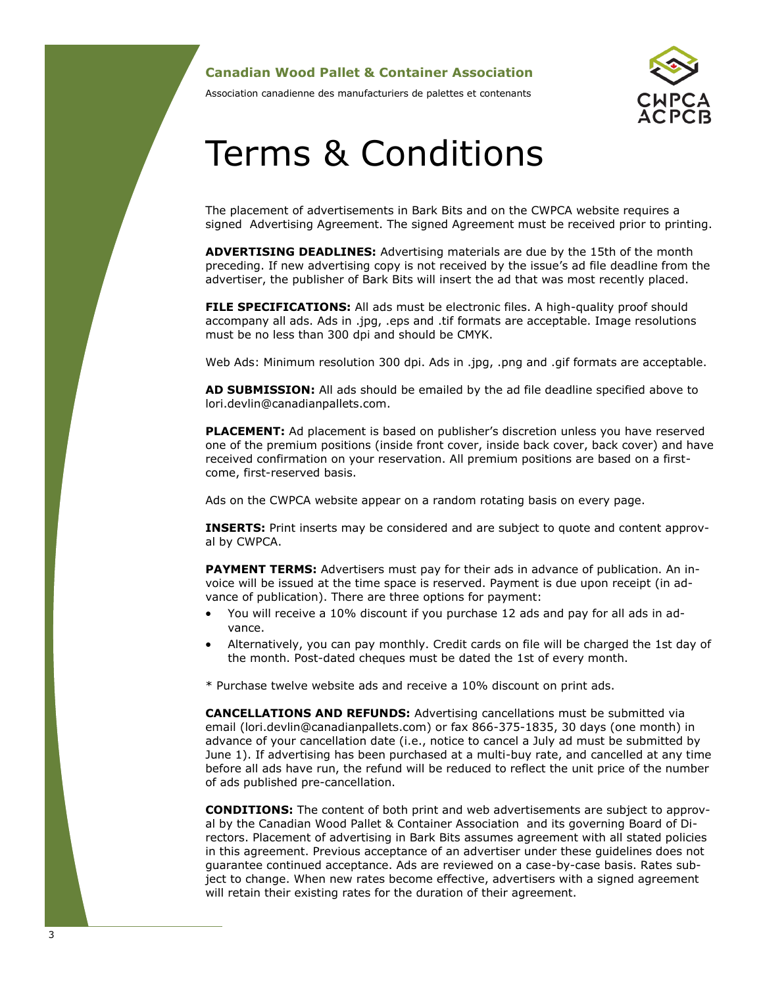#### **Canadian Wood Pallet & Container Association**

Association canadienne des manufacturiers de palettes et contenants

# Terms & Conditions

The placement of advertisements in Bark Bits and on the CWPCA website requires a signed Advertising Agreement. The signed Agreement must be received prior to printing.

**ADVERTISING DEADLINES:** Advertising materials are due by the 15th of the month preceding. If new advertising copy is not received by the issue's ad file deadline from the advertiser, the publisher of Bark Bits will insert the ad that was most recently placed.

**FILE SPECIFICATIONS:** All ads must be electronic files. A high-quality proof should accompany all ads. Ads in .jpg, .eps and .tif formats are acceptable. Image resolutions must be no less than 300 dpi and should be CMYK.

Web Ads: Minimum resolution 300 dpi. Ads in .jpg, .png and .gif formats are acceptable.

**AD SUBMISSION:** All ads should be emailed by the ad file deadline specified above to lori.devlin@canadianpallets.com.

**PLACEMENT:** Ad placement is based on publisher's discretion unless you have reserved one of the premium positions (inside front cover, inside back cover, back cover) and have received confirmation on your reservation. All premium positions are based on a firstcome, first-reserved basis.

Ads on the CWPCA website appear on a random rotating basis on every page.

**INSERTS:** Print inserts may be considered and are subject to quote and content approval by CWPCA.

**PAYMENT TERMS:** Advertisers must pay for their ads in advance of publication. An invoice will be issued at the time space is reserved. Payment is due upon receipt (in advance of publication). There are three options for payment:

- You will receive a 10% discount if you purchase 12 ads and pay for all ads in advance.
- Alternatively, you can pay monthly. Credit cards on file will be charged the 1st day of the month. Post-dated cheques must be dated the 1st of every month.

\* Purchase twelve website ads and receive a 10% discount on print ads.

**CANCELLATIONS AND REFUNDS:** Advertising cancellations must be submitted via email (lori.devlin@canadianpallets.com) or fax 866-375-1835, 30 days (one month) in advance of your cancellation date (i.e., notice to cancel a July ad must be submitted by June 1). If advertising has been purchased at a multi-buy rate, and cancelled at any time before all ads have run, the refund will be reduced to reflect the unit price of the number of ads published pre-cancellation.

**CONDITIONS:** The content of both print and web advertisements are subject to approval by the Canadian Wood Pallet & Container Association and its governing Board of Directors. Placement of advertising in Bark Bits assumes agreement with all stated policies in this agreement. Previous acceptance of an advertiser under these guidelines does not guarantee continued acceptance. Ads are reviewed on a case-by-case basis. Rates subject to change. When new rates become effective, advertisers with a signed agreement will retain their existing rates for the duration of their agreement.